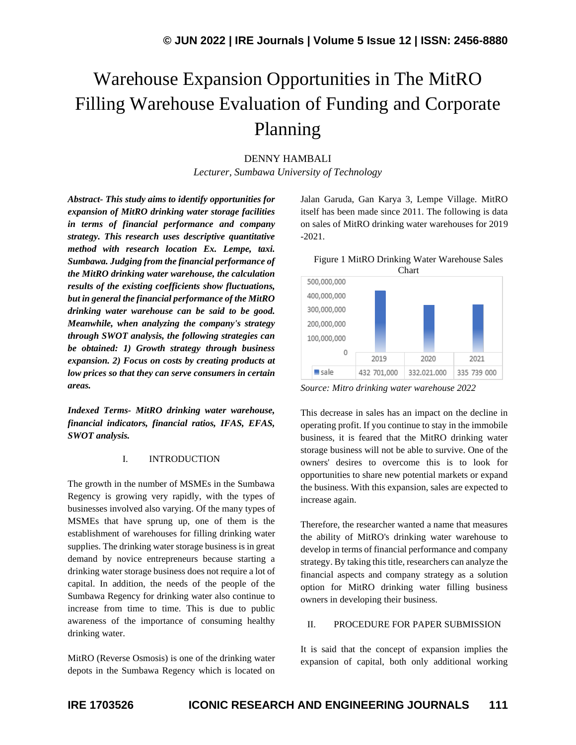# Warehouse Expansion Opportunities in The MitRO Filling Warehouse Evaluation of Funding and Corporate Planning

# DENNY HAMBALI

*Lecturer, Sumbawa University of Technology* 

*Abstract- This study aims to identify opportunities for expansion of MitRO drinking water storage facilities in terms of financial performance and company strategy. This research uses descriptive quantitative method with research location Ex. Lempe, taxi. Sumbawa. Judging from the financial performance of the MitRO drinking water warehouse, the calculation results of the existing coefficients show fluctuations, but in general the financial performance of the MitRO drinking water warehouse can be said to be good. Meanwhile, when analyzing the company's strategy through SWOT analysis, the following strategies can be obtained: 1) Growth strategy through business expansion. 2) Focus on costs by creating products at low prices so that they can serve consumers in certain areas.*

*Indexed Terms- MitRO drinking water warehouse, financial indicators, financial ratios, IFAS, EFAS, SWOT analysis.*

## I. INTRODUCTION

The growth in the number of MSMEs in the Sumbawa Regency is growing very rapidly, with the types of businesses involved also varying. Of the many types of MSMEs that have sprung up, one of them is the establishment of warehouses for filling drinking water supplies. The drinking water storage business is in great demand by novice entrepreneurs because starting a drinking water storage business does not require a lot of capital. In addition, the needs of the people of the Sumbawa Regency for drinking water also continue to increase from time to time. This is due to public awareness of the importance of consuming healthy drinking water.

MitRO (Reverse Osmosis) is one of the drinking water depots in the Sumbawa Regency which is located on

Jalan Garuda, Gan Karya 3, Lempe Village. MitRO itself has been made since 2011. The following is data on sales of MitRO drinking water warehouses for 2019 -2021.

Figure 1 MitRO Drinking Water Warehouse Sales



*Source: Mitro drinking water warehouse 2022*

This decrease in sales has an impact on the decline in operating profit. If you continue to stay in the immobile business, it is feared that the MitRO drinking water storage business will not be able to survive. One of the owners' desires to overcome this is to look for opportunities to share new potential markets or expand the business. With this expansion, sales are expected to increase again.

Therefore, the researcher wanted a name that measures the ability of MitRO's drinking water warehouse to develop in terms of financial performance and company strategy. By taking this title, researchers can analyze the financial aspects and company strategy as a solution option for MitRO drinking water filling business owners in developing their business.

#### II. PROCEDURE FOR PAPER SUBMISSION

It is said that the concept of expansion implies the expansion of capital, both only additional working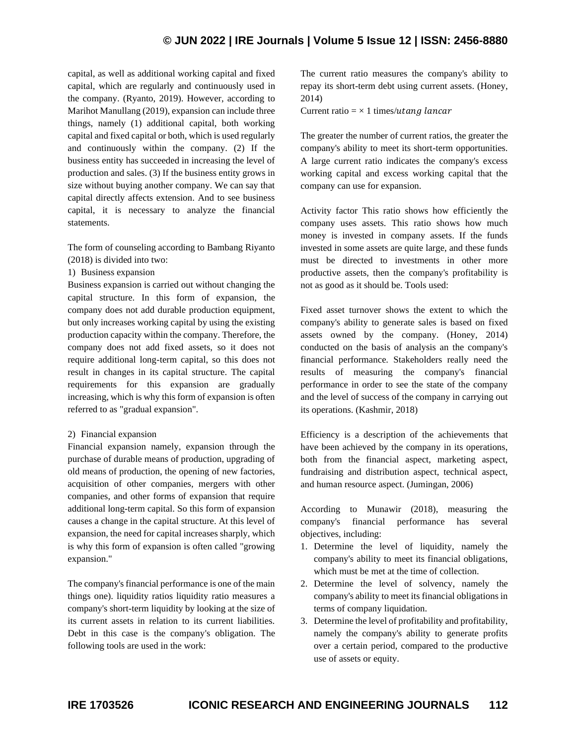# **© JUN 2022 | IRE Journals | Volume 5 Issue 12 | ISSN: 2456-8880**

capital, as well as additional working capital and fixed capital, which are regularly and continuously used in the company. (Ryanto, 2019). However, according to Marihot Manullang (2019), expansion can include three things, namely (1) additional capital, both working capital and fixed capital or both, which is used regularly and continuously within the company. (2) If the business entity has succeeded in increasing the level of production and sales. (3) If the business entity grows in size without buying another company. We can say that capital directly affects extension. And to see business capital, it is necessary to analyze the financial statements.

The form of counseling according to Bambang Riyanto (2018) is divided into two:

1) Business expansion

Business expansion is carried out without changing the capital structure. In this form of expansion, the company does not add durable production equipment, but only increases working capital by using the existing production capacity within the company. Therefore, the company does not add fixed assets, so it does not require additional long-term capital, so this does not result in changes in its capital structure. The capital requirements for this expansion are gradually increasing, which is why this form of expansion is often referred to as "gradual expansion".

## 2) Financial expansion

Financial expansion namely, expansion through the purchase of durable means of production, upgrading of old means of production, the opening of new factories, acquisition of other companies, mergers with other companies, and other forms of expansion that require additional long-term capital. So this form of expansion causes a change in the capital structure. At this level of expansion, the need for capital increases sharply, which is why this form of expansion is often called "growing expansion."

The company's financial performance is one of the main things one). liquidity ratios liquidity ratio measures a company's short-term liquidity by looking at the size of its current assets in relation to its current liabilities. Debt in this case is the company's obligation. The following tools are used in the work:

The current ratio measures the company's ability to repay its short-term debt using current assets. (Honey, 2014)

Current ratio =  $\times$  1 times/utang lancar

The greater the number of current ratios, the greater the company's ability to meet its short-term opportunities. A large current ratio indicates the company's excess working capital and excess working capital that the company can use for expansion.

Activity factor This ratio shows how efficiently the company uses assets. This ratio shows how much money is invested in company assets. If the funds invested in some assets are quite large, and these funds must be directed to investments in other more productive assets, then the company's profitability is not as good as it should be. Tools used:

Fixed asset turnover shows the extent to which the company's ability to generate sales is based on fixed assets owned by the company. (Honey, 2014) conducted on the basis of analysis an the company's financial performance. Stakeholders really need the results of measuring the company's financial performance in order to see the state of the company and the level of success of the company in carrying out its operations. (Kashmir, 2018)

Efficiency is a description of the achievements that have been achieved by the company in its operations, both from the financial aspect, marketing aspect, fundraising and distribution aspect, technical aspect, and human resource aspect. (Jumingan, 2006)

According to Munawir (2018), measuring the company's financial performance has several objectives, including:

- 1. Determine the level of liquidity, namely the company's ability to meet its financial obligations, which must be met at the time of collection.
- 2. Determine the level of solvency, namely the company's ability to meet its financial obligations in terms of company liquidation.
- 3. Determine the level of profitability and profitability, namely the company's ability to generate profits over a certain period, compared to the productive use of assets or equity.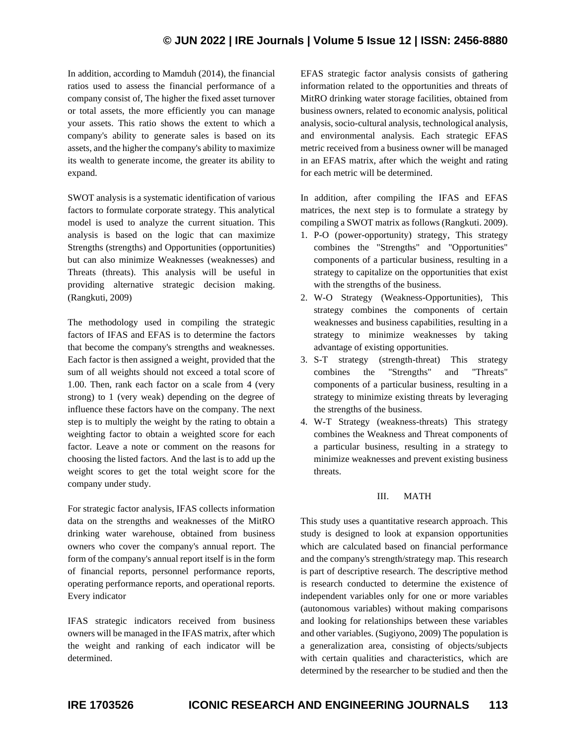# **© JUN 2022 | IRE Journals | Volume 5 Issue 12 | ISSN: 2456-8880**

In addition, according to Mamduh (2014), the financial ratios used to assess the financial performance of a company consist of, The higher the fixed asset turnover or total assets, the more efficiently you can manage your assets. This ratio shows the extent to which a company's ability to generate sales is based on its assets, and the higher the company's ability to maximize its wealth to generate income, the greater its ability to expand.

SWOT analysis is a systematic identification of various factors to formulate corporate strategy. This analytical model is used to analyze the current situation. This analysis is based on the logic that can maximize Strengths (strengths) and Opportunities (opportunities) but can also minimize Weaknesses (weaknesses) and Threats (threats). This analysis will be useful in providing alternative strategic decision making. (Rangkuti, 2009)

The methodology used in compiling the strategic factors of IFAS and EFAS is to determine the factors that become the company's strengths and weaknesses. Each factor is then assigned a weight, provided that the sum of all weights should not exceed a total score of 1.00. Then, rank each factor on a scale from 4 (very strong) to 1 (very weak) depending on the degree of influence these factors have on the company. The next step is to multiply the weight by the rating to obtain a weighting factor to obtain a weighted score for each factor. Leave a note or comment on the reasons for choosing the listed factors. And the last is to add up the weight scores to get the total weight score for the company under study.

For strategic factor analysis, IFAS collects information data on the strengths and weaknesses of the MitRO drinking water warehouse, obtained from business owners who cover the company's annual report. The form of the company's annual report itself is in the form of financial reports, personnel performance reports, operating performance reports, and operational reports. Every indicator

IFAS strategic indicators received from business owners will be managed in the IFAS matrix, after which the weight and ranking of each indicator will be determined.

EFAS strategic factor analysis consists of gathering information related to the opportunities and threats of MitRO drinking water storage facilities, obtained from business owners, related to economic analysis, political analysis, socio-cultural analysis, technological analysis, and environmental analysis. Each strategic EFAS metric received from a business owner will be managed in an EFAS matrix, after which the weight and rating for each metric will be determined.

In addition, after compiling the IFAS and EFAS matrices, the next step is to formulate a strategy by compiling a SWOT matrix as follows (Rangkuti. 2009).

- 1. P-O (power-opportunity) strategy, This strategy combines the "Strengths" and "Opportunities" components of a particular business, resulting in a strategy to capitalize on the opportunities that exist with the strengths of the business.
- 2. W-O Strategy (Weakness-Opportunities), This strategy combines the components of certain weaknesses and business capabilities, resulting in a strategy to minimize weaknesses by taking advantage of existing opportunities.
- 3. S-T strategy (strength-threat) This strategy combines the "Strengths" and "Threats" components of a particular business, resulting in a strategy to minimize existing threats by leveraging the strengths of the business.
- 4. W-T Strategy (weakness-threats) This strategy combines the Weakness and Threat components of a particular business, resulting in a strategy to minimize weaknesses and prevent existing business threats.

# III. MATH

This study uses a quantitative research approach. This study is designed to look at expansion opportunities which are calculated based on financial performance and the company's strength/strategy map. This research is part of descriptive research. The descriptive method is research conducted to determine the existence of independent variables only for one or more variables (autonomous variables) without making comparisons and looking for relationships between these variables and other variables. (Sugiyono, 2009) The population is a generalization area, consisting of objects/subjects with certain qualities and characteristics, which are determined by the researcher to be studied and then the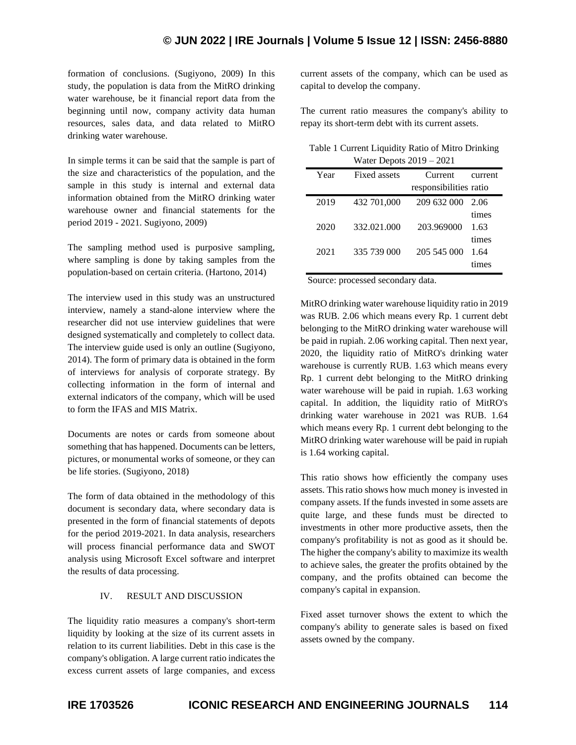formation of conclusions. (Sugiyono, 2009) In this study, the population is data from the MitRO drinking water warehouse, be it financial report data from the beginning until now, company activity data human resources, sales data, and data related to MitRO drinking water warehouse.

In simple terms it can be said that the sample is part of the size and characteristics of the population, and the sample in this study is internal and external data information obtained from the MitRO drinking water warehouse owner and financial statements for the period 2019 - 2021. Sugiyono, 2009)

The sampling method used is purposive sampling, where sampling is done by taking samples from the population-based on certain criteria. (Hartono, 2014)

The interview used in this study was an unstructured interview, namely a stand-alone interview where the researcher did not use interview guidelines that were designed systematically and completely to collect data. The interview guide used is only an outline (Sugiyono, 2014). The form of primary data is obtained in the form of interviews for analysis of corporate strategy. By collecting information in the form of internal and external indicators of the company, which will be used to form the IFAS and MIS Matrix.

Documents are notes or cards from someone about something that has happened. Documents can be letters, pictures, or monumental works of someone, or they can be life stories. (Sugiyono, 2018)

The form of data obtained in the methodology of this document is secondary data, where secondary data is presented in the form of financial statements of depots for the period 2019-2021. In data analysis, researchers will process financial performance data and SWOT analysis using Microsoft Excel software and interpret the results of data processing.

# IV. RESULT AND DISCUSSION

The liquidity ratio measures a company's short-term liquidity by looking at the size of its current assets in relation to its current liabilities. Debt in this case is the company's obligation. A large current ratio indicates the excess current assets of large companies, and excess

current assets of the company, which can be used as capital to develop the company.

The current ratio measures the company's ability to repay its short-term debt with its current assets.

| Table 1 Current Liquidity Ratio of Mitro Drinking |  |
|---------------------------------------------------|--|
| Water Depots $2019 - 2021$                        |  |

| Year | Fixed assets | Current                | current |
|------|--------------|------------------------|---------|
|      |              | responsibilities ratio |         |
| 2019 | 432 701,000  | 209 632 000            | 2.06    |
|      |              |                        | times   |
| 2020 | 332.021.000  | 203.969000             | 1.63    |
|      |              |                        | times   |
| 2021 | 335 739 000  | 205 545 000            | 1.64    |
|      |              |                        | mes     |

Source: processed secondary data.

MitRO drinking water warehouse liquidity ratio in 2019 was RUB. 2.06 which means every Rp. 1 current debt belonging to the MitRO drinking water warehouse will be paid in rupiah. 2.06 working capital. Then next year, 2020, the liquidity ratio of MitRO's drinking water warehouse is currently RUB. 1.63 which means every Rp. 1 current debt belonging to the MitRO drinking water warehouse will be paid in rupiah. 1.63 working capital. In addition, the liquidity ratio of MitRO's drinking water warehouse in 2021 was RUB. 1.64 which means every Rp. 1 current debt belonging to the MitRO drinking water warehouse will be paid in rupiah is 1.64 working capital.

This ratio shows how efficiently the company uses assets. This ratio shows how much money is invested in company assets. If the funds invested in some assets are quite large, and these funds must be directed to investments in other more productive assets, then the company's profitability is not as good as it should be. The higher the company's ability to maximize its wealth to achieve sales, the greater the profits obtained by the company, and the profits obtained can become the company's capital in expansion.

Fixed asset turnover shows the extent to which the company's ability to generate sales is based on fixed assets owned by the company.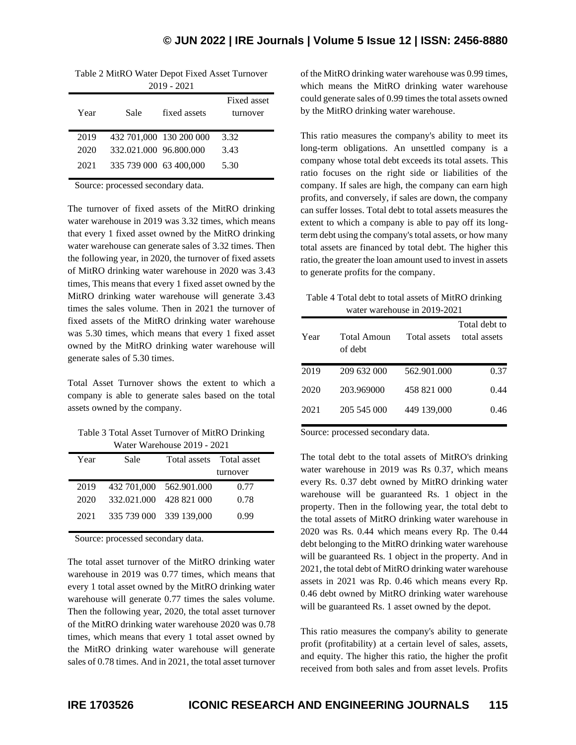| Table 2 MitRO Water Depot Fixed Asset Turnover |               |  |
|------------------------------------------------|---------------|--|
|                                                | $2019 - 2021$ |  |

| Year | Sale                   | fixed assets            | Fixed asset<br>turnover |
|------|------------------------|-------------------------|-------------------------|
| 2019 |                        | 432 701,000 130 200 000 | 3.32                    |
| 2020 | 332.021.000 96.800.000 |                         | 3.43                    |
| 2021 | 335 739 000 63 400,000 |                         | 5.30                    |

Source: processed secondary data.

The turnover of fixed assets of the MitRO drinking water warehouse in 2019 was 3.32 times, which means that every 1 fixed asset owned by the MitRO drinking water warehouse can generate sales of 3.32 times. Then the following year, in 2020, the turnover of fixed assets of MitRO drinking water warehouse in 2020 was 3.43 times, This means that every 1 fixed asset owned by the MitRO drinking water warehouse will generate 3.43 times the sales volume. Then in 2021 the turnover of fixed assets of the MitRO drinking water warehouse was 5.30 times, which means that every 1 fixed asset owned by the MitRO drinking water warehouse will generate sales of 5.30 times.

Total Asset Turnover shows the extent to which a company is able to generate sales based on the total assets owned by the company.

Table 3 Total Asset Turnover of MitRO Drinking Water Warehouse 2019 - 2021

| Year | Sale                    | Total assets Total asset |          |
|------|-------------------------|--------------------------|----------|
|      |                         |                          | turnover |
| 2019 | 432 701,000 562.901.000 |                          | 0.77     |
| 2020 | 332,021,000 428 821 000 |                          | 0.78     |
| 2021 | 335 739 000 339 139,000 |                          | 0.99     |

Source: processed secondary data.

The total asset turnover of the MitRO drinking water warehouse in 2019 was 0.77 times, which means that every 1 total asset owned by the MitRO drinking water warehouse will generate 0.77 times the sales volume. Then the following year, 2020, the total asset turnover of the MitRO drinking water warehouse 2020 was 0.78 times, which means that every 1 total asset owned by the MitRO drinking water warehouse will generate sales of 0.78 times. And in 2021, the total asset turnover

of the MitRO drinking water warehouse was 0.99 times, which means the MitRO drinking water warehouse could generate sales of 0.99 times the total assets owned by the MitRO drinking water warehouse.

This ratio measures the company's ability to meet its long-term obligations. An unsettled company is a company whose total debt exceeds its total assets. This ratio focuses on the right side or liabilities of the company. If sales are high, the company can earn high profits, and conversely, if sales are down, the company can suffer losses. Total debt to total assets measures the extent to which a company is able to pay off its longterm debt using the company's total assets, or how many total assets are financed by total debt. The higher this ratio, the greater the loan amount used to invest in assets to generate profits for the company.

| Table 4 Total debt to total assets of MitRO drinking |
|------------------------------------------------------|
| water warehouse in 2019-2021                         |

| Year | Total Amoun<br>of debt | Total assets | Total debt to<br>total assets |
|------|------------------------|--------------|-------------------------------|
| 2019 | 209 632 000            | 562.901.000  | 0.37                          |
| 2020 | 203.969000             | 458 821 000  | 0.44                          |
| 2021 | 205 545 000            | 449 139,000  | 0.46                          |

Source: processed secondary data.

The total debt to the total assets of MitRO's drinking water warehouse in 2019 was Rs 0.37, which means every Rs. 0.37 debt owned by MitRO drinking water warehouse will be guaranteed Rs. 1 object in the property. Then in the following year, the total debt to the total assets of MitRO drinking water warehouse in 2020 was Rs. 0.44 which means every Rp. The 0.44 debt belonging to the MitRO drinking water warehouse will be guaranteed Rs. 1 object in the property. And in 2021, the total debt of MitRO drinking water warehouse assets in 2021 was Rp. 0.46 which means every Rp. 0.46 debt owned by MitRO drinking water warehouse will be guaranteed Rs. 1 asset owned by the depot.

This ratio measures the company's ability to generate profit (profitability) at a certain level of sales, assets, and equity. The higher this ratio, the higher the profit received from both sales and from asset levels. Profits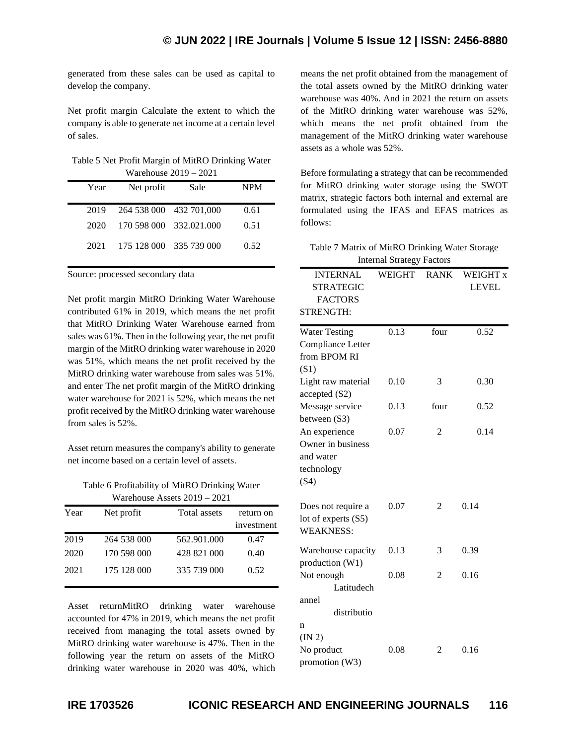generated from these sales can be used as capital to develop the company.

Net profit margin Calculate the extent to which the company is able to generate net income at a certain level of sales.

| Table 5 Net Profit Margin of MitRO Drinking Water |
|---------------------------------------------------|
| Warehouse $2019 - 2021$                           |

| Net profit | Sale | <b>NPM</b>                                                                                         |
|------------|------|----------------------------------------------------------------------------------------------------|
|            |      | 0.61                                                                                               |
|            |      | 0.51                                                                                               |
|            |      | 0.52                                                                                               |
|            |      | 1.84333404.004047<br>264 538 000 432 701,000<br>170 598 000 332,021,000<br>175 128 000 335 739 000 |

Source: processed secondary data

Net profit margin MitRO Drinking Water Warehouse contributed 61% in 2019, which means the net profit that MitRO Drinking Water Warehouse earned from sales was 61%. Then in the following year, the net profit margin of the MitRO drinking water warehouse in 2020 was 51%, which means the net profit received by the MitRO drinking water warehouse from sales was 51%. and enter The net profit margin of the MitRO drinking water warehouse for 2021 is 52%, which means the net profit received by the MitRO drinking water warehouse from sales is 52%.

Asset return measures the company's ability to generate net income based on a certain level of assets.

Table 6 Profitability of MitRO Drinking Water Warehouse Assets 2019 – 2021

| Year | Net profit  | Total assets | return on  |
|------|-------------|--------------|------------|
|      |             |              | investment |
| 2019 | 264 538 000 | 562.901.000  | 0.47       |
| 2020 | 170 598 000 | 428 821 000  | 0.40       |
| 2021 | 175 128 000 | 335 739 000  | 0.52       |

Asset returnMitRO drinking water warehouse accounted for 47% in 2019, which means the net profit received from managing the total assets owned by MitRO drinking water warehouse is 47%. Then in the following year the return on assets of the MitRO drinking water warehouse in 2020 was 40%, which

means the net profit obtained from the management of the total assets owned by the MitRO drinking water warehouse was 40%. And in 2021 the return on assets of the MitRO drinking water warehouse was 52%, which means the net profit obtained from the management of the MitRO drinking water warehouse assets as a whole was 52%.

Before formulating a strategy that can be recommended for MitRO drinking water storage using the SWOT matrix, strategic factors both internal and external are formulated using the IFAS and EFAS matrices as follows:

| Table 7 Matrix of MitRO Drinking Water Storage |
|------------------------------------------------|
| <b>Internal Strategy Factors</b>               |

| <b>INTERNAL</b>                   | WEIGHT | <b>RANK</b>    | WEIGHT x     |
|-----------------------------------|--------|----------------|--------------|
| <b>STRATEGIC</b>                  |        |                | <b>LEVEL</b> |
| <b>FACTORS</b>                    |        |                |              |
| <b>STRENGTH:</b>                  |        |                |              |
|                                   | 0.13   | four           | 0.52         |
| <b>Water Testing</b>              |        |                |              |
| Compliance Letter<br>from BPOM RI |        |                |              |
|                                   |        |                |              |
| (S1)                              |        |                |              |
| Light raw material                | 0.10   | 3              | 0.30         |
| accepted (S2)                     |        |                |              |
| Message service                   | 0.13   | four           | 0.52         |
| between (S3)                      |        |                |              |
| An experience                     | 0.07   | 2              | 0.14         |
| Owner in business                 |        |                |              |
| and water                         |        |                |              |
| technology                        |        |                |              |
| (S4)                              |        |                |              |
| Does not require a                | 0.07   | $\overline{2}$ | 0.14         |
| lot of experts (S5)               |        |                |              |
| <b>WEAKNESS:</b>                  |        |                |              |
|                                   |        |                |              |
| Warehouse capacity                | 0.13   | 3              | 0.39         |
| production (W1)                   |        |                |              |
| Not enough                        | 0.08   | 2              | 0.16         |
| Latitudech                        |        |                |              |
| annel                             |        |                |              |
| distributio                       |        |                |              |
| n                                 |        |                |              |
| (IN 2)                            |        |                |              |
| No product                        | 0.08   | 2              | 0.16         |
| promotion (W3)                    |        |                |              |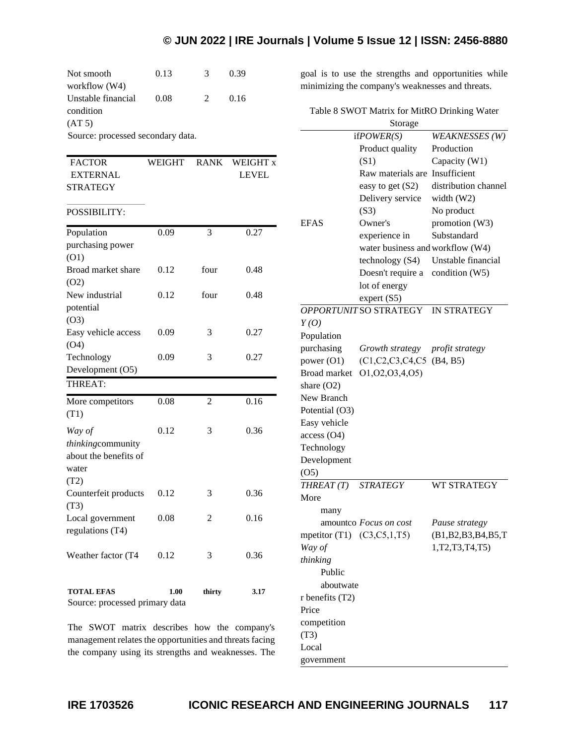# **© JUN 2022 | IRE Journals | Volume 5 Issue 12 | ISSN: 2456-8880**

| Not smooth                        | 0.13 | $\mathcal{R}$ | 0.39 |
|-----------------------------------|------|---------------|------|
| workflow (W4)                     |      |               |      |
| Unstable financial                | 0.08 | 2             | 0.16 |
| condition                         |      |               |      |
| (AT 5)                            |      |               |      |
| Source: processed secondary data. |      |               |      |

| <b>FACTOR</b>   | WEIGHT | RANK WEIGHT x |
|-----------------|--------|---------------|
| EXTERNAL        |        | LEVEL         |
| <b>STRATEGY</b> |        |               |

## POSSIBILITY:

| <b>TOTAL EFAS</b><br>Source: processed primary data | 1.00 | thirty         | 3.17 |
|-----------------------------------------------------|------|----------------|------|
| Weather factor (T4                                  | 0.12 | 3              | 0.36 |
| regulations (T4)                                    |      |                |      |
| Local government                                    | 0.08 | 2              | 0.16 |
| (T3)                                                |      |                |      |
| Counterfeit products                                | 0.12 | 3              | 0.36 |
| (T2)                                                |      |                |      |
| water                                               |      |                |      |
| thinkingcommunity<br>about the benefits of          |      |                |      |
| Way of                                              | 0.12 | 3              | 0.36 |
| (T1)                                                |      |                |      |
| More competitors                                    | 0.08 | $\overline{c}$ | 0.16 |
| THREAT:                                             |      |                |      |
| Development (O5)                                    |      |                |      |
| Technology                                          | 0.09 | 3              | 0.27 |
| (O4)                                                |      |                |      |
| Easy vehicle access                                 | 0.09 | 3              | 0.27 |
| (O3)                                                |      |                |      |
| potential                                           |      |                |      |
| New industrial                                      | 0.12 | four           | 0.48 |
| (O2)                                                |      |                |      |
| Broad market share                                  | 0.12 | four           | 0.48 |
| (O1)                                                |      |                |      |
| purchasing power                                    |      |                |      |
| Population                                          | 0.09 | 3              | 0.27 |

The SWOT matrix describes how the company's management relates the opportunities and threats facing the company using its strengths and weaknesses. The goal is to use the strengths and opportunities while minimizing the company's weaknesses and threats.

Table 8 SWOT Matrix for MitRO Drinking Water

|                                 | Storage                          |                       |
|---------------------------------|----------------------------------|-----------------------|
|                                 | ifPOWER(S)                       | <b>WEAKNESSES</b> (W) |
|                                 | Product quality                  | Production            |
|                                 | (S1)                             | Capacity (W1)         |
|                                 | Raw materials are                | Insufficient          |
|                                 | easy to get (S2)                 | distribution channel  |
|                                 | Delivery service                 | width $(W2)$          |
|                                 | (S3)                             | No product            |
| EFAS                            | Owner's                          | promotion (W3)        |
|                                 | experience in                    | Substandard           |
|                                 | water business and workflow (W4) |                       |
|                                 | technology (S4)                  | Unstable financial    |
|                                 | Doesn't require a                | condition (W5)        |
|                                 | lot of energy                    |                       |
|                                 | expert (S5)                      |                       |
|                                 | OPPORTUNIT SO STRATEGY           | <b>IN STRATEGY</b>    |
| Y(O)                            |                                  |                       |
| Population                      |                                  |                       |
| purchasing                      | Growth strategy                  | profit strategy       |
| power (O1)                      | (C1, C2, C3, C4, C5)             | (B4, B5)              |
| Broad market                    | 01,02,03,4,05)                   |                       |
| share $(O2)$                    |                                  |                       |
| New Branch                      |                                  |                       |
| Potential (O3)                  |                                  |                       |
| Easy vehicle                    |                                  |                       |
| access (O4)                     |                                  |                       |
| Technology                      |                                  |                       |
| Development                     |                                  |                       |
| (O <sub>5</sub> )               |                                  |                       |
| THREAT(T)                       | <b>STRATEGY</b>                  | <b>WT STRATEGY</b>    |
| More                            |                                  |                       |
| many                            |                                  |                       |
|                                 | amountco Focus on cost           | Pause strategy        |
| mpetitor (T1) $(C3, C5, 1, T5)$ |                                  | (B1,B2,B3,B4,B5,T)    |
| Way of                          |                                  | 1, T2, T3, T4, T5)    |
| thinking                        |                                  |                       |
| Public                          |                                  |                       |
| aboutwate                       |                                  |                       |
| r benefits (T2)                 |                                  |                       |
| Price                           |                                  |                       |
| competition                     |                                  |                       |
| (T3)                            |                                  |                       |
| Local                           |                                  |                       |
| government                      |                                  |                       |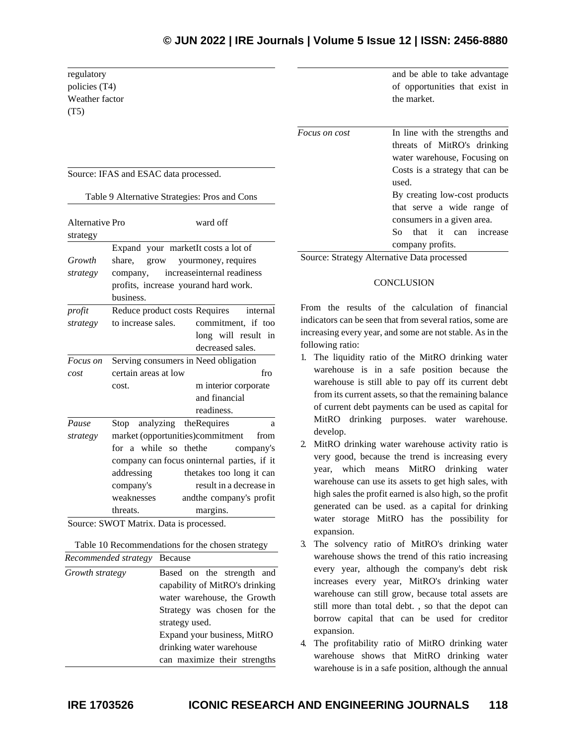regulatory policies (T4) Weather factor (T5)

Source: IFAS and ESAC data processed.

| Table 9 Alternative Strategies: Pros and Cons |  |  |
|-----------------------------------------------|--|--|
|-----------------------------------------------|--|--|

| Alternative Pro |                                         | ward off                                    |
|-----------------|-----------------------------------------|---------------------------------------------|
| strategy        |                                         |                                             |
|                 | Expand your marketIt costs a lot of     |                                             |
| Growth          | share,<br>grow                          | yourmoney, requires                         |
| strategy        | company,                                | increaseinternal readiness                  |
|                 | profits, increase yourand hard work.    |                                             |
|                 | business.                               |                                             |
| profit          | Reduce product costs Requires           | internal                                    |
| strategy        | to increase sales.                      | commitment, if too                          |
|                 |                                         | long will result in                         |
|                 |                                         | decreased sales.                            |
| Focus on        | Serving consumers in Need obligation    |                                             |
| cost            | certain areas at low<br>fr <sub>O</sub> |                                             |
|                 | cost.                                   | m interior corporate                        |
|                 |                                         | and financial                               |
|                 |                                         | readiness.                                  |
| Pause           | Stop analyzing the Requires             | a                                           |
| strategy        | market (opportunities)commitment        | from                                        |
|                 | for a while so the the                  | company's                                   |
|                 |                                         | company can focus oninternal parties, if it |
|                 | addressing                              | thetakes too long it can                    |
|                 | company's                               | result in a decrease in                     |
|                 | weaknesses                              | and the company's profit                    |
|                 | threats.                                | margins.                                    |

Source: SWOT Matrix. Data is processed.

Table 10 Recommendations for the chosen strategy *Recommended strategy* Because

| Growth strategy | Based on the strength and      |
|-----------------|--------------------------------|
|                 | capability of MitRO's drinking |
|                 | water warehouse, the Growth    |
|                 | Strategy was chosen for the    |
|                 | strategy used.                 |
|                 | Expand your business, MitRO    |
|                 | drinking water warehouse       |
|                 | can maximize their strengths   |

and be able to take advantage of opportunities that exist in the market.

*Focus on cost* In line with the strengths and threats of MitRO's drinking water warehouse, Focusing on Costs is a strategy that can be used. By creating low-cost products that serve a wide range of consumers in a given area. So that it can increase company profits.

Source: Strategy Alternative Data processed

## **CONCLUSION**

From the results of the calculation of financial indicators can be seen that from several ratios, some are increasing every year, and some are not stable. As in the following ratio:

- 1. The liquidity ratio of the MitRO drinking water warehouse is in a safe position because the warehouse is still able to pay off its current debt from its current assets, so that the remaining balance of current debt payments can be used as capital for MitRO drinking purposes. water warehouse. develop.
- 2. MitRO drinking water warehouse activity ratio is very good, because the trend is increasing every year, which means MitRO drinking water warehouse can use its assets to get high sales, with high sales the profit earned is also high, so the profit generated can be used. as a capital for drinking water storage MitRO has the possibility for expansion.
- 3. The solvency ratio of MitRO's drinking water warehouse shows the trend of this ratio increasing every year, although the company's debt risk increases every year, MitRO's drinking water warehouse can still grow, because total assets are still more than total debt. , so that the depot can borrow capital that can be used for creditor expansion.
- 4. The profitability ratio of MitRO drinking water warehouse shows that MitRO drinking water warehouse is in a safe position, although the annual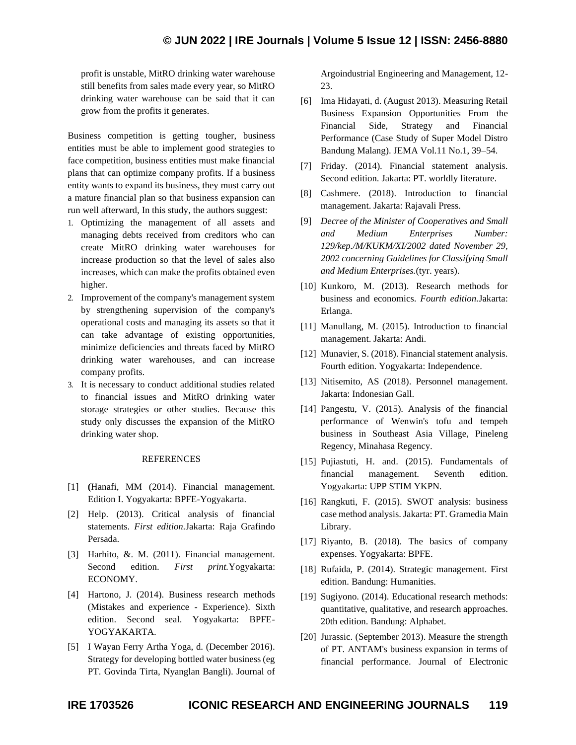profit is unstable, MitRO drinking water warehouse still benefits from sales made every year, so MitRO drinking water warehouse can be said that it can grow from the profits it generates.

Business competition is getting tougher, business entities must be able to implement good strategies to face competition, business entities must make financial plans that can optimize company profits. If a business entity wants to expand its business, they must carry out a mature financial plan so that business expansion can run well afterward, In this study, the authors suggest:

- 1. Optimizing the management of all assets and managing debts received from creditors who can create MitRO drinking water warehouses for increase production so that the level of sales also increases, which can make the profits obtained even higher.
- 2. Improvement of the company's management system by strengthening supervision of the company's operational costs and managing its assets so that it can take advantage of existing opportunities, minimize deficiencies and threats faced by MitRO drinking water warehouses, and can increase company profits.
- 3. It is necessary to conduct additional studies related to financial issues and MitRO drinking water storage strategies or other studies. Because this study only discusses the expansion of the MitRO drinking water shop.

## REFERENCES

- [1] **(**Hanafi, MM (2014). Financial management. Edition I. Yogyakarta: BPFE-Yogyakarta.
- [2] Help. (2013). Critical analysis of financial statements. *First edition.*Jakarta: Raja Grafindo Persada.
- [3] Harhito, &. M. (2011). Financial management. Second edition. *First print.*Yogyakarta: ECONOMY.
- [4] Hartono, J. (2014). Business research methods (Mistakes and experience - Experience). Sixth edition. Second seal. Yogyakarta: BPFE-YOGYAKARTA.
- [5] I Wayan Ferry Artha Yoga, d. (December 2016). Strategy for developing bottled water business (eg PT. Govinda Tirta, Nyanglan Bangli). Journal of

Argoindustrial Engineering and Management, 12- 23.

- [6] Ima Hidayati, d. (August 2013). Measuring Retail Business Expansion Opportunities From the Financial Side, Strategy and Financial Performance (Case Study of Super Model Distro Bandung Malang). JEMA Vol.11 No.1, 39–54.
- [7] Friday. (2014). Financial statement analysis. Second edition. Jakarta: PT. worldly literature.
- [8] Cashmere. (2018). Introduction to financial management. Jakarta: Rajavali Press.
- [9] *Decree of the Minister of Cooperatives and Small and Medium Enterprises Number: 129/kep./M/KUKM/XI/2002 dated November 29, 2002 concerning Guidelines for Classifying Small and Medium Enterprises.*(tyr. years).
- [10] Kunkoro, M. (2013). Research methods for business and economics. *Fourth edition.*Jakarta: Erlanga.
- [11] Manullang, M. (2015). Introduction to financial management. Jakarta: Andi.
- [12] Munavier, S. (2018). Financial statement analysis. Fourth edition. Yogyakarta: Independence.
- [13] Nitisemito, AS (2018). Personnel management. Jakarta: Indonesian Gall.
- [14] Pangestu, V. (2015). Analysis of the financial performance of Wenwin's tofu and tempeh business in Southeast Asia Village, Pineleng Regency, Minahasa Regency.
- [15] Pujiastuti, H. and. (2015). Fundamentals of financial management. Seventh edition. Yogyakarta: UPP STIM YKPN.
- [16] Rangkuti, F. (2015). SWOT analysis: business case method analysis. Jakarta: PT. Gramedia Main Library.
- [17] Riyanto, B. (2018). The basics of company expenses. Yogyakarta: BPFE.
- [18] Rufaida, P. (2014). Strategic management. First edition. Bandung: Humanities.
- [19] Sugiyono. (2014). Educational research methods: quantitative, qualitative, and research approaches. 20th edition. Bandung: Alphabet.
- [20] Jurassic. (September 2013). Measure the strength of PT. ANTAM's business expansion in terms of financial performance. Journal of Electronic